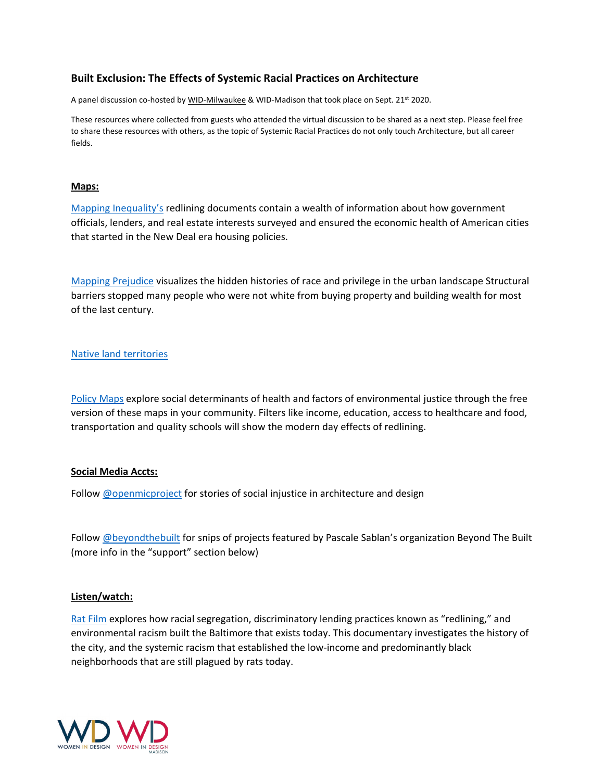# **Built Exclusion: The Effects of Systemic Racial Practices on Architecture**

A panel discussion co-hosted by [WID-Milwaukee](https://www.widmke.com/) & WID-Madison that took place on Sept. 21st 2020.

These resources where collected from guests who attended the virtual discussion to be shared as a next step. Please feel free to share these resources with others, as the topic of Systemic Racial Practices do not only touch Architecture, but all career fields.

### **Maps:**

Mapping [Inequality's](https://dsl.richmond.edu/panorama/redlining/#loc=11/43.03/-88.167&city=milwaukee-co.-wi&text=intro) redlining documents contain a wealth of information about how government officials, lenders, and real estate interests surveyed and ensured the economic health of American cities that started in the New Deal era housing policies.

Mapping [Prejudice](https://mappingprejudice.umn.edu/) visualizes the hidden histories of race and privilege in the urban landscape Structural barriers stopped many people who were not white from buying property and building wealth for most of the last century.

### Native land [territories](https://native-land.ca/)

[Policy](https://www.policymap.com/maps) Maps explore social determinants of health and factors of environmental justice through the free version of these maps in your community. Filters like income, education, access to healthcare and food, transportation and quality schools will show the modern day effects of redlining.

### **Social Media Accts:**

Follow [@openmicproject](https://www.instagram.com/openmicproject/) for stories of social injustice in architecture and design

Follow [@beyondthebuilt](https://www.instagram.com/beyondthebuilt/) for snips of projects featured by Pascale Sablan's organization Beyond The Built (more info in the "support" section below)

### **Listen/watch:**

Rat [Film](https://www.pbs.org/independentlens/films/rat-film/) explores how racial segregation, discriminatory lending practices known as "redlining," and environmental racism built the Baltimore that exists today. This documentary investigates the history of the city, and the systemic racism that established the low-income and predominantly black neighborhoods that are still plagued by rats today.

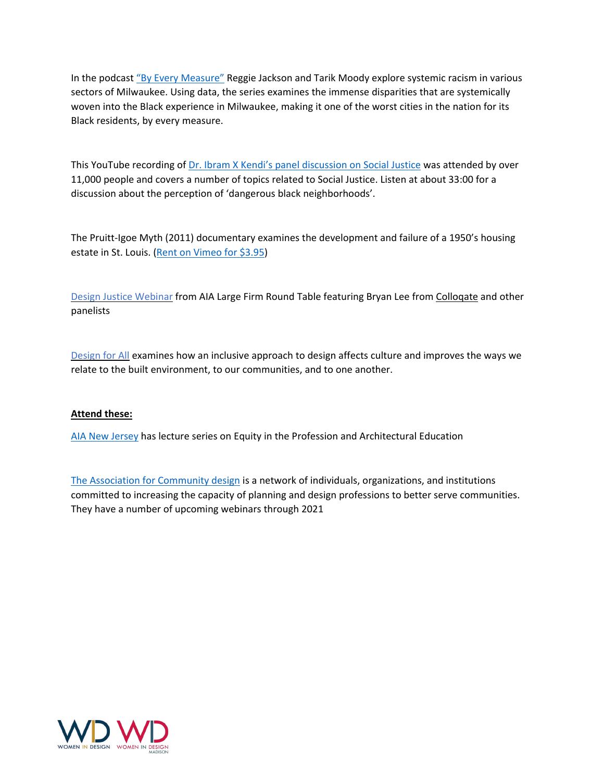In the podcast "By Every [Measure"](https://radiomilwaukee.org/measure/) Reggie Jackson and Tarik Moody explore systemic racism in various sectors of Milwaukee. Using data, the series examines the immense disparities that are systemically woven into the Black experience in Milwaukee, making it one of the worst cities in the nation for its Black residents, by every measure.

This YouTube recording of Dr. Ibram X Kendi's panel [discussion](https://www.youtube.com/watch?v=yZse2Ji4AIw) on Social Justice was attended by over 11,000 people and covers a number of topics related to Social Justice. Listen at about 33:00 for a discussion about the perception of 'dangerous black neighborhoods'.

The Pruitt-Igoe Myth (2011) documentary examines the development and failure of a 1950's housing estate in St. Louis. (Rent on [Vimeo](https://vimeo.com/ondemand/thepruittigoemyth) for \$3.95)

Design Justice [Webinar](https://register.gotowebinar.com/recording/viewRecording/646790321716896013/4957854468149080579/valicea@nyvarch.com?registrantKey=6986623845682850320&type=ATTENDEEEMAILRECORDINGLINK) from AIA Large Firm Round Table featuring Bryan Lee from [Colloqate](https://colloqate.org/design-justice-for-black-lives) and other panelists

[Design](https://corporate.target.com/article/2020/05/design-for-all-film) for All examines how an inclusive approach to design affects culture and improves the ways we relate to the built environment, to our communities, and to one another.

### **Attend these:**

AIA New [Jersey](https://aia-nj.org/event/equity-in-the-profession-building-a-more-diverse-architecture-industry/) has lecture series on Equity in the Profession and Architectural Education

The Association for [Community](https://www.communitydesign.org/2020-webinar-series) design is a network of individuals, organizations, and institutions committed to increasing the capacity of planning and design professions to better serve communities. They have a number of upcoming webinars through 2021

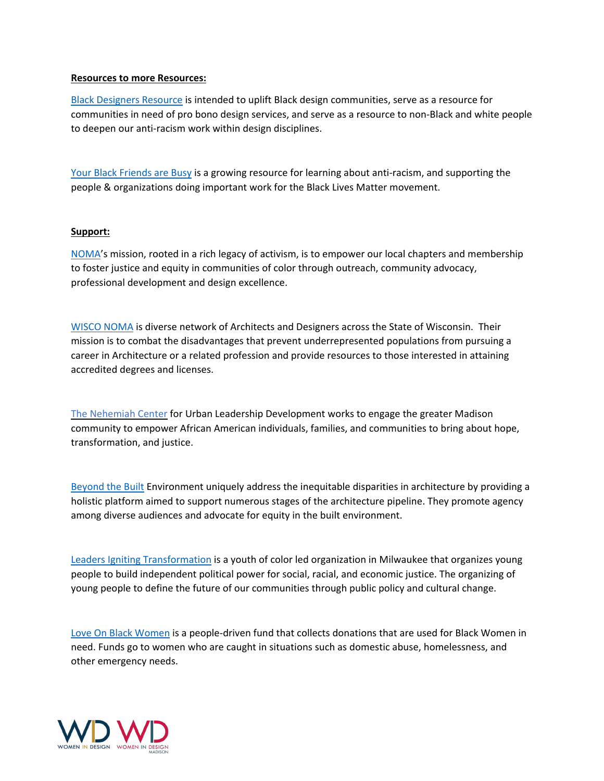### **Resources to more Resources:**

Black [Designers](https://docs.google.com/document/d/e/2PACX-1vRkuF9o4WDiRW8v2nAPfJRttbZty5MADnFCt38PC4JPbqWMr4VrT307fzz5uAcYupTaWVwTrz-N8pUb/pub#id.ypq12zw7wh19) Resource is intended to uplift Black design communities, serve as a resource for communities in need of pro bono design services, and serve as a resource to non-Black and white people to deepen our anti-racism work within design disciplines.

Your Black [Friends](https://www.yourblackfriendsarebusy.com/) are Busy is a growing resource for learning about anti-racism, and supporting the people & organizations doing important work for the Black Lives Matter movement.

### **Support:**

[NOMA'](https://www.noma.net/about-noma/)s mission, rooted in a rich legacy of activism, is to empower our local chapters and membership to foster justice and equity in communities of color through outreach, community advocacy, professional development and design excellence.

[WISCO](https://www.wisconoma.com/about) NOMA is diverse network of Architects and Designers across the State of Wisconsin. Their mission is to combat the disadvantages that prevent underrepresented populations from pursuing a career in Architecture or a related profession and provide resources to those interested in attaining accredited degrees and licenses.

The [Nehemiah](https://nehemiah.org/) Center for Urban Leadership Development works to engage the greater Madison community to empower African American individuals, families, and communities to bring about hope, transformation, and justice.

[Beyond](https://www.beyondthebuilt.com/about) the Built Environment uniquely address the inequitable disparities in architecture by providing a holistic platform aimed to support numerous stages of the architecture pipeline. They promote agency among diverse audiences and advocate for equity in the built environment.

Leaders Igniting [Transformation](https://www.litmke.org/about-lit) is a youth of color led organization in Milwaukee that organizes young people to build independent political power for social, racial, and economic justice. The organizing of young people to define the future of our communities through public policy and cultural change.

Love On Black [Women](https://loveonblackwomen.com/) is a people-driven fund that collects donations that are used for Black Women in need. Funds go to women who are caught in situations such as domestic abuse, homelessness, and other emergency needs.

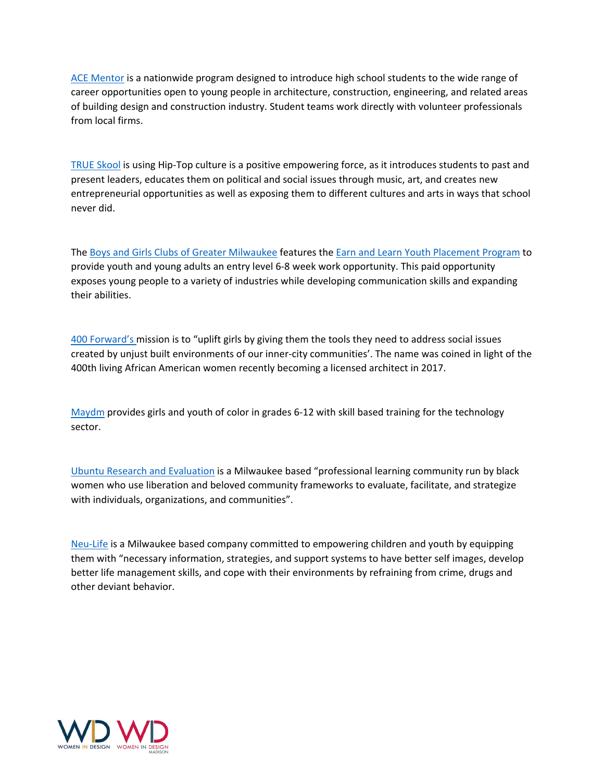ACE [Mentor](https://www.acementor.org/affiliates/wisconsin/milwaukee/about-us/) is a nationwide program designed to introduce high school students to the wide range of career opportunities open to young people in architecture, construction, engineering, and related areas of building design and construction industry. Student teams work directly with volunteer professionals from local firms.

TRUE [Skool](https://www.trueskool.org/designedawareness) is using Hip-Top culture is a positive empowering force, as it introduces students to past and present leaders, educates them on political and social issues through music, art, and creates new entrepreneurial opportunities as well as exposing them to different cultures and arts in ways that school never did.

The Boys and Girls Clubs of Greater [Milwaukee](https://www.bgcmilwaukee.org/) features the Earn and Learn Youth [Placement](https://www.employmilwaukee.org/Employ-Milwaukee/Programs--Services/Job-Placement/Earn--Learn-Summer-Youth-Employment.htm) Program to provide youth and young adults an entry level 6-8 week work opportunity. This paid opportunity exposes young people to a variety of industries while developing communication skills and expanding their abilities.

400 [Forward's](https://www.400forward.com/) mission is to "uplift girls by giving them the tools they need to address social issues created by unjust built environments of our inner-city communities'. The name was coined in light of the 400th living African American women recently becoming a licensed architect in 2017.

[Maydm](https://maydm.org/) provides girls and youth of color in grades 6-12 with skill based training for the technology sector.

Ubuntu Research and [Evaluation](https://www.ubunturesearch.com/) is a Milwaukee based "professional learning community run by black women who use liberation and beloved community frameworks to evaluate, facilitate, and strategize with individuals, organizations, and communities".

[Neu-Life](https://www.neu-life.org/) is a Milwaukee based company committed to empowering children and youth by equipping them with "necessary information, strategies, and support systems to have better self images, develop better life management skills, and cope with their environments by refraining from crime, drugs and other deviant behavior.

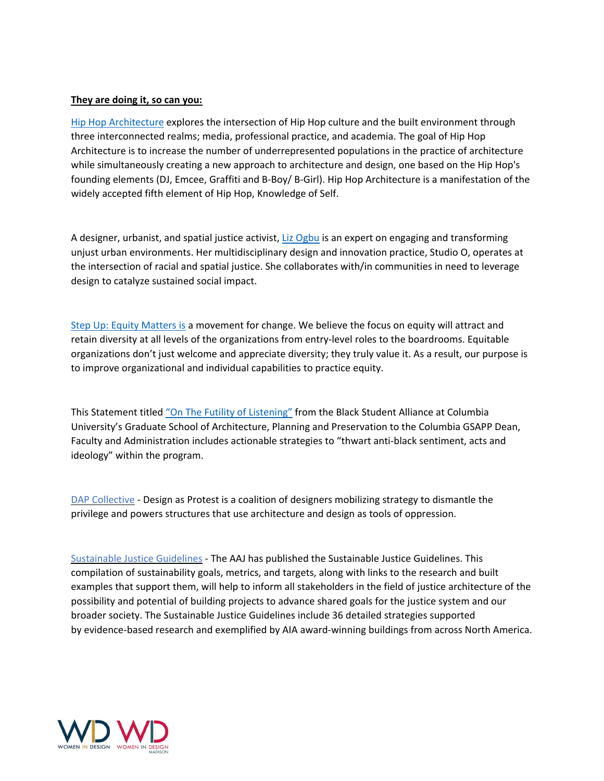### **They are doing it, so can you:**

Hip Hop [Architecture](http://hiphoparchitecture.com/) explores the intersection of Hip Hop culture and the built environment through three interconnected realms; media, professional practice, and academia. The goal of Hip Hop Architecture is to increase the number of underrepresented populations in the practice of architecture while simultaneously creating a new approach to architecture and design, one based on the Hip Hop's founding elements (DJ, Emcee, Graffiti and B-Boy/ B-Girl). Hip Hop Architecture is a manifestation of the widely accepted fifth element of Hip Hop, Knowledge of Self.

A designer, urbanist, and spatial justice activist, Liz [Ogbu](http://www.lizogbu.com/about/) is an expert on engaging and transforming unjust urban environments. Her multidisciplinary design and innovation practice, Studio O, operates at the intersection of racial and spatial justice. She collaborates with/in communities in need to leverage design to catalyze sustained social impact.

Step Up: Equity [Matters](https://www.stepupforequity.com/challenge) is a movement for change. We believe the focus on equity will attract and retain diversity at all levels of the organizations from entry-level roles to the boardrooms. Equitable organizations don't just welcome and appreciate diversity; they truly value it. As a result, our purpose is to improve organizational and individual capabilities to practice equity.

This Statement titled "On The Futility of [Listening"](https://onthefutilityoflistening.cargo.site/) from the Black Student Alliance at Columbia University's Graduate School of Architecture, Planning and Preservation to the Columbia GSAPP Dean, Faculty and Administration includes actionable strategies to "thwart anti-black sentiment, acts and ideology" within the program.

DAP [Collective](https://www.dapcollective.com/) - Design as Protest is a coalition of designers mobilizing strategy to dismantle the privilege and powers structures that use architecture and design as tools of oppression.

[Sustainable](https://network.aia.org/blogs/brian-mclaren/2017/12/31/sustainable-justice-committee?CommunityKey=6cb91d7c-05dc-4b48-97ea-b36b6034093e&tab=) Justice Guidelines - The AAJ has published the Sustainable Justice Guidelines. This compilation of sustainability goals, metrics, and targets, along with links to the research and built examples that support them, will help to inform all stakeholders in the field of justice architecture of the possibility and potential of building projects to advance shared goals for the justice system and our broader society. The Sustainable Justice Guidelines include 36 detailed strategies supported by evidence-based research and exemplified by AIA award-winning buildings from across North America.